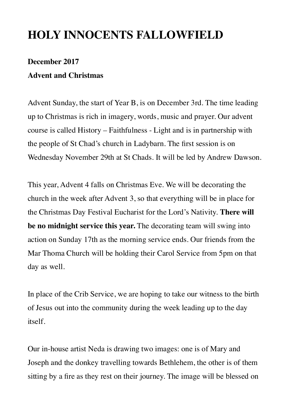## **HOLY INNOCENTS FALLOWFIELD**

## **December 2017 Advent and Christmas**

Advent Sunday, the start of Year B, is on December 3rd. The time leading up to Christmas is rich in imagery, words, music and prayer. Our advent course is called History – Faithfulness - Light and is in partnership with the people of St Chad's church in Ladybarn. The first session is on Wednesday November 29th at St Chads. It will be led by Andrew Dawson.

This year, Advent 4 falls on Christmas Eve. We will be decorating the church in the week after Advent 3, so that everything will be in place for the Christmas Day Festival Eucharist for the Lord's Nativity. **There will be no midnight service this year.** The decorating team will swing into action on Sunday 17th as the morning service ends. Our friends from the Mar Thoma Church will be holding their Carol Service from 5pm on that day as well.

In place of the Crib Service, we are hoping to take our witness to the birth of Jesus out into the community during the week leading up to the day itself.

Our in-house artist Neda is drawing two images: one is of Mary and Joseph and the donkey travelling towards Bethlehem, the other is of them sitting by a fire as they rest on their journey. The image will be blessed on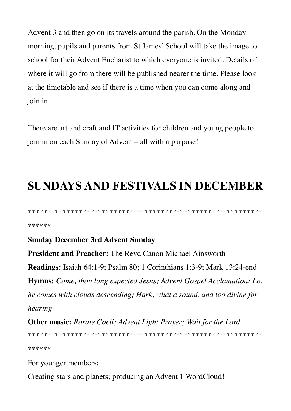Advent 3 and then go on its travels around the parish. On the Monday morning, pupils and parents from St James' School will take the image to school for their Advent Eucharist to which everyone is invited. Details of where it will go from there will be published nearer the time. Please look at the timetable and see if there is a time when you can come along and join in.

There are art and craft and IT activities for children and young people to join in on each Sunday of Advent – all with a purpose!

## **SUNDAYS AND FESTIVALS IN DECEMBER**

\*\*\*\*\*\*

## **Sunday December 3rd Advent Sunday**

**President and Preacher:** The Revd Canon Michael Ainsworth **Readings:** Isaiah 64:1-9; Psalm 80; 1 Corinthians 1:3-9; Mark 13:24-end **Hymns:** Come, thou long expected Jesus; Advent Gospel Acclamation; Lo, he comes with clouds descending; Hark, what a sound, and too divine for hearing

**Other music:** Rorate Coeli; Advent Light Prayer; Wait for the Lord \*\*\*\*\*\*

For younger members:

Creating stars and planets; producing an Advent 1 WordCloud!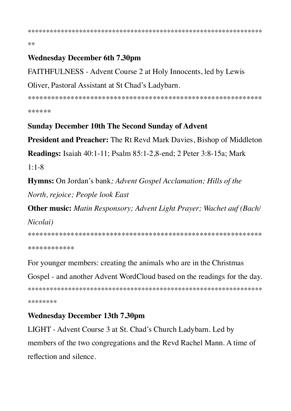$**$ 

## **Wednesday December 6th 7.30pm**

FAITHFULNESS - Advent Course 2 at Holy Innocents, led by Lewis

#### Oliver, Pastoral Assistant at St Chad's Ladybarn.

\*\*\*\*\*\*

## **Sunday December 10th The Second Sunday of Advent**

President and Preacher: The Rt Revd Mark Davies, Bishop of Middleton

**Readings:** Isaiah 40:1-11; Psalm 85:1-2,8-end; 2 Peter 3:8-15a; Mark

 $1:1 - 8$ 

**Hymns:** On Jordan's bank; Advent Gospel Acclamation; Hills of the North, rejoice; People look East

**Other music:** Matin Responsory; Advent Light Prayer; Wachet auf (Bach/ Nicolai)

\*\*\*\*\*\*\*\*\*\*\*\*

For younger members: creating the animals who are in the Christmas

Gospel - and another Advent WordCloud based on the readings for the day.

\*\*\*\*\*\*\*\*

## **Wednesday December 13th 7.30pm**

LIGHT - Advent Course 3 at St. Chad's Church Ladybarn. Led by members of the two congregations and the Revd Rachel Mann. A time of reflection and silence.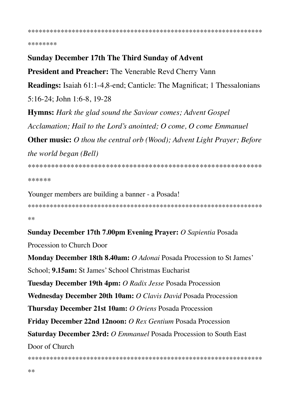\*\*\*\*\*\*\*\*

#### **Sunday December 17th The Third Sunday of Advent**

**President and Preacher:** The Venerable Revd Cherry Vann

**Readings:** Isaiah 61:1-4,8-end; Canticle: The Magnificat; 1 Thessalonians  $5:16-24$ ; John 1:6-8, 19-28

**Hymns:** Hark the glad sound the Saviour comes; Advent Gospel Acclamation; Hail to the Lord's anointed; O come, O come Emmanuel **Other music:** O thou the central orb (Wood); Advent Light Prayer; Before *the world began (Bell)* 

\*\*\*\*\*\*

Younger members are building a banner - a Posada!

 $**$ 

#### Sunday December 17th 7.00pm Evening Prayer: O Sapientia Posada

Procession to Church Door

Monday December 18th 8.40am: O Adonai Posada Procession to St James' School: 9.15am: St James' School Christmas Eucharist Tuesday December 19th 4pm: O Radix Jesse Posada Procession **Wednesday December 20th 10am:** O Clavis David Posada Procession Thursday December 21st 10am: O Oriens Posada Procession Friday December 22nd 12noon: O Rex Gentium Posada Procession Saturday December 23rd: O Emmanuel Posada Procession to South East Door of Church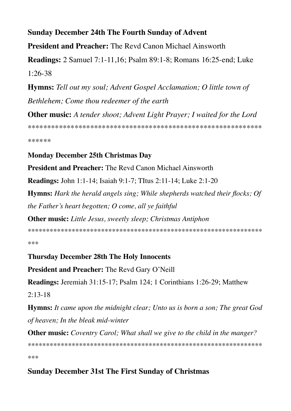## **Sunday December 24th The Fourth Sunday of Advent**

**President and Preacher:** The Revd Canon Michael Ainsworth

**Readings:** 2 Samuel 7:1-11,16; Psalm 89:1-8; Romans 16:25-end; Luke  $1:26-38$ 

**Hymns:** Tell out my soul; Advent Gospel Acclamation; O little town of Bethlehem: Come thou redeemer of the earth

**Other music:** A tender shoot; Advent Light Prayer; I waited for the Lord 

\*\*\*\*\*\*

## **Monday December 25th Christmas Day**

**President and Preacher:** The Revd Canon Michael Ainsworth

**Readings:** John 1:1-14; Isaiah 9:1-7; TItus 2:11-14; Luke 2:1-20

**Hymns:** Hark the herald angels sing; While shepherds watched their flocks; Of the Father's heart begotten;  $O$  come, all ye faithful

**Other music:** Little Jesus, sweetly sleep; Christmas Antiphon

\*\*\*

## **Thursday December 28th The Holy Innocents**

**President and Preacher:** The Revd Gary O'Neill

Readings: Jeremiah 31:15-17; Psalm 124; 1 Corinthians 1:26-29; Matthew

 $2:13-18$ 

**Hymns:** It came upon the midnight clear; Unto us is born a son; The great God of heaven; In the bleak mid-winter

**Other music:** Coventry Carol; What shall we give to the child in the manger?

\*\*\*

## **Sunday December 31st The First Sunday of Christmas**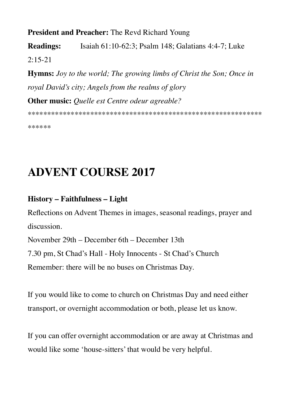## **President and Preacher: The Revd Richard Young**

Isaiah 61:10-62:3; Psalm 148; Galatians 4:4-7; Luke **Readings:** 

 $2:15-21$ 

**Hymns:** Joy to the world; The growing limbs of Christ the Son; Once in royal David's city; Angels from the realms of glory **Other music:** Quelle est Centre odeur agreable?

\*\*\*\*\*\*

# **ADVENT COURSE 2017**

## **History - Faithfulness - Light**

Reflections on Advent Themes in images, seasonal readings, prayer and discussion.

November 29th – December 6th – December 13th 7.30 pm, St Chad's Hall - Holy Innocents - St Chad's Church

Remember: there will be no buses on Christmas Day.

If you would like to come to church on Christmas Day and need either transport, or overnight accommodation or both, please let us know.

If you can offer overnight accommodation or are away at Christmas and would like some 'house-sitters' that would be very helpful.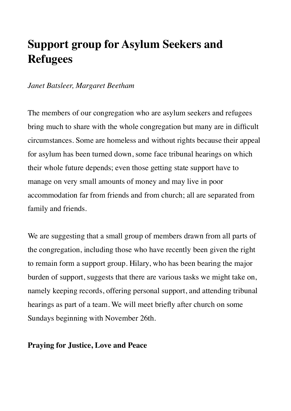# **Support group for Asylum Seekers and Refugees**

## *Janet Batsleer, Margaret Beetham*

The members of our congregation who are asylum seekers and refugees bring much to share with the whole congregation but many are in difficult circumstances. Some are homeless and without rights because their appeal for asylum has been turned down, some face tribunal hearings on which their whole future depends; even those getting state support have to manage on very small amounts of money and may live in poor accommodation far from friends and from church; all are separated from family and friends.

We are suggesting that a small group of members drawn from all parts of the congregation, including those who have recently been given the right to remain form a support group. Hilary, who has been bearing the major burden of support, suggests that there are various tasks we might take on, namely keeping records, offering personal support, and attending tribunal hearings as part of a team. We will meet briefly after church on some Sundays beginning with November 26th.

#### **Praying for Justice, Love and Peace**